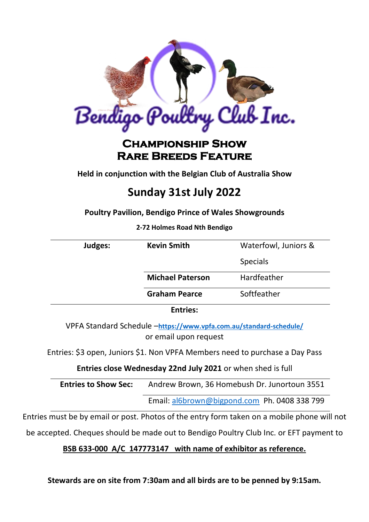

# **Championship Show Rare Breeds Feature**

**Held in conjunction with the Belgian Club of Australia Show**

# **Sunday 31st July 2022**

**Poultry Pavilion, Bendigo Prince of Wales Showgrounds**

**2-72 Holmes Road Nth Bendigo**

| Judges: | <b>Kevin Smith</b>      | Waterfowl, Juniors & |
|---------|-------------------------|----------------------|
|         |                         |                      |
|         |                         | <b>Specials</b>      |
|         | <b>Michael Paterson</b> | Hardfeather          |
|         | <b>Graham Pearce</b>    | Softfeather          |
|         | <b>Entries:</b>         |                      |

VPFA Standard Schedule –**<https://www.vpfa.com.au/standard-schedule/>** or email upon request

Entries: \$3 open, Juniors \$1. Non VPFA Members need to purchase a Day Pass

**Entries close Wednesday 22nd July 2021** or when shed is full

| <b>Entries to Show Sec:</b> | Andrew Brown, 36 Homebush Dr. Junortoun 3551 |  |
|-----------------------------|----------------------------------------------|--|
|                             | Email: al6brown@bigpond.com Ph. 0408 338 799 |  |

Entries must be by email or post. Photos of the entry form taken on a mobile phone will not

be accepted. Cheques should be made out to Bendigo Poultry Club Inc. or EFT payment to

#### **BSB 633-000 A/C 147773147 with name of exhibitor as reference.**

**Stewards are on site from 7:30am and all birds are to be penned by 9:15am.**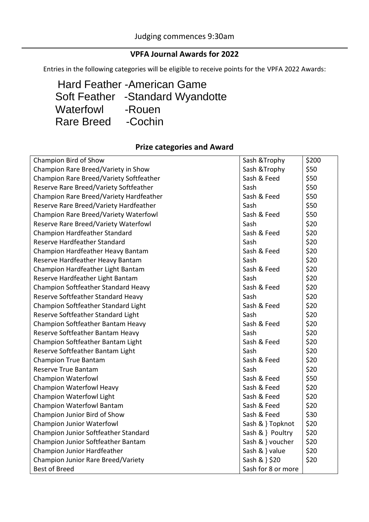## **VPFA Journal Awards for 2022**

Entries in the following categories will be eligible to receive points for the VPFA 2022 Awards:

 Hard Feather -American Game Soft Feather -Standard Wyandotte Waterfowl -Rouen Rare Breed -Cochin

#### **Prize categories and Award**

| Champion Bird of Show                   | Sash & Trophy      | \$200 |
|-----------------------------------------|--------------------|-------|
| Champion Rare Breed/Variety in Show     | Sash & Trophy      | \$50  |
| Champion Rare Breed/Variety Softfeather | Sash & Feed        | \$50  |
| Reserve Rare Breed/Variety Softfeather  | Sash               | \$50  |
| Champion Rare Breed/Variety Hardfeather | Sash & Feed        | \$50  |
| Reserve Rare Breed/Variety Hardfeather  | Sash               | \$50  |
| Champion Rare Breed/Variety Waterfowl   | Sash & Feed        | \$50  |
| Reserve Rare Breed/Variety Waterfowl    | Sash               | \$20  |
| <b>Champion Hardfeather Standard</b>    | Sash & Feed        | \$20  |
| Reserve Hardfeather Standard            | Sash               | \$20  |
| Champion Hardfeather Heavy Bantam       | Sash & Feed        | \$20  |
| Reserve Hardfeather Heavy Bantam        | Sash               | \$20  |
| Champion Hardfeather Light Bantam       | Sash & Feed        | \$20  |
| Reserve Hardfeather Light Bantam        | Sash               | \$20  |
| Champion Softfeather Standard Heavy     | Sash & Feed        | \$20  |
| Reserve Softfeather Standard Heavy      | Sash               | \$20  |
| Champion Softfeather Standard Light     | Sash & Feed        | \$20  |
| Reserve Softfeather Standard Light      | Sash               | \$20  |
| Champion Softfeather Bantam Heavy       | Sash & Feed        | \$20  |
| Reserve Softfeather Bantam Heavy        | Sash               | \$20  |
| Champion Softfeather Bantam Light       | Sash & Feed        | \$20  |
| Reserve Softfeather Bantam Light        | Sash               | \$20  |
| <b>Champion True Bantam</b>             | Sash & Feed        | \$20  |
| <b>Reserve True Bantam</b>              | Sash               | \$20  |
| <b>Champion Waterfowl</b>               | Sash & Feed        | \$50  |
| Champion Waterfowl Heavy                | Sash & Feed        | \$20  |
| <b>Champion Waterfowl Light</b>         | Sash & Feed        | \$20  |
| <b>Champion Waterfowl Bantam</b>        | Sash & Feed        | \$20  |
| Champion Junior Bird of Show            | Sash & Feed        | \$30  |
| <b>Champion Junior Waterfowl</b>        | Sash & } Topknot   | \$20  |
| Champion Junior Softfeather Standard    | Sash & } Poultry   | \$20  |
| Champion Junior Softfeather Bantam      | Sash & } voucher   | \$20  |
| Champion Junior Hardfeather             | Sash & } value     | \$20  |
| Champion Junior Rare Breed/Variety      | Sash & } \$20      | \$20  |
| <b>Best of Breed</b>                    | Sash for 8 or more |       |
|                                         |                    |       |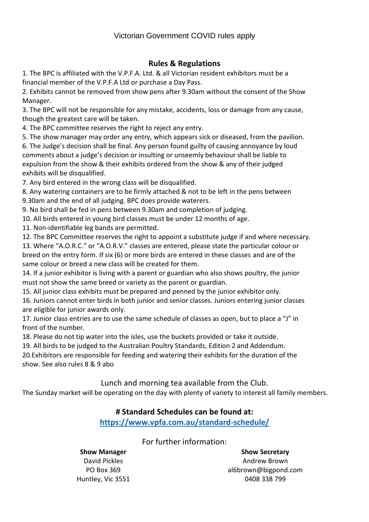#### **Rules & Regulations**

1. The BPC is affiliated with the V.P.F.A. Ltd. & all Victorian resident exhibitors must be a financial member of the V.P.F.A Ltd or purchase a Day Pass.

2. Exhibits cannot be removed from show pens after 9.30am without the consent of the Show Manager.

3. The BPC will not be responsible for any mistake, accidents, loss or damage from any cause, though the greatest care will be taken.

4. The BPC committee reserves the right to reject any entry.

5. The show manager may order any entry, which appears sick or diseased, from the pavilion.

6. The Judge's decision shall be final. Any person found guilty of causing annoyance by loud comments about a judge's decision or insulting or unseemly behaviour shall be liable to expulsion from the show & their exhibits ordered from the show & any of their judged exhibits will be disqualified.

7. Any bird entered in the wrong class will be disqualified.

8. Any watering containers are to be firmly attached & not to be left in the pens between 9.30am and the end of all judging. BPC does provide waterers.

9. No bird shall be fed in pens between 9.30am and completion of judging.

10. All birds entered in young bird classes must be under 12 months of age.

11. Non-identifiable leg bands are permitted.

12. The BPC Committee reserves the right to appoint a substitute judge if and where necessary.

13. Where "A.O.R.C." or "A.O.R.V." classes are entered, please state the particular colour or breed on the entry form. If six (6) or more birds are entered in these classes and are of the same colour or breed a new class will be created for them.

14. If a junior exhibitor is living with a parent or guardian who also shows poultry, the junior must not show the same breed or variety as the parent or guardian.

15. All junior class exhibits must be prepared and penned by the junior exhibitor only.

16. Juniors cannot enter birds in both junior and senior classes. Juniors entering junior classes are eligible for junior awards only.

17. Junior class entries are to use the same schedule of classes as open, but to place a "J" in front of the number.

18. Please do not tip water into the isles, use the buckets provided or take it outside.

19. All birds to be judged to the Australian Poultry Standards, Edition 2 and Addendum.

20.Exhibitors are responsible for feeding and watering their exhibits for the duration of the show. See also rules 8 & 9 abo

Lunch and morning tea available from the Club.

The Sunday market will be operating on the day with plenty of variety to interest all family members.

#### **# Standard Schedules can be found at:**

**<https://www.vpfa.com.au/standard-schedule/>**

For further information:

## **Show Manager** David Pickles

PO Box 369 Huntley, Vic 3551

**Show Secretary** Andrew Brown al6brown@bigpond.com 0408 338 799